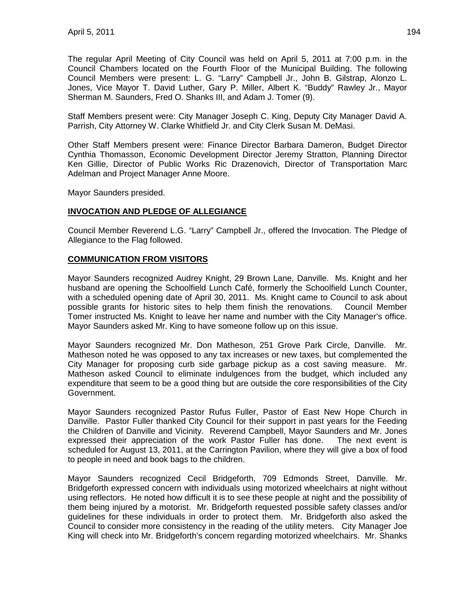The regular April Meeting of City Council was held on April 5, 2011 at 7:00 p.m. in the Council Chambers located on the Fourth Floor of the Municipal Building. The following Council Members were present: L. G. "Larry" Campbell Jr., John B. Gilstrap, Alonzo L. Jones, Vice Mayor T. David Luther, Gary P. Miller, Albert K. "Buddy" Rawley Jr., Mayor Sherman M. Saunders, Fred O. Shanks III, and Adam J. Tomer (9).

Staff Members present were: City Manager Joseph C. King, Deputy City Manager David A. Parrish, City Attorney W. Clarke Whitfield Jr. and City Clerk Susan M. DeMasi.

Other Staff Members present were: Finance Director Barbara Dameron, Budget Director Cynthia Thomasson, Economic Development Director Jeremy Stratton, Planning Director Ken Gillie, Director of Public Works Ric Drazenovich, Director of Transportation Marc Adelman and Project Manager Anne Moore.

Mayor Saunders presided.

## **INVOCATION AND PLEDGE OF ALLEGIANCE**

Council Member Reverend L.G. "Larry" Campbell Jr., offered the Invocation. The Pledge of Allegiance to the Flag followed.

## **COMMUNICATION FROM VISITORS**

Mayor Saunders recognized Audrey Knight, 29 Brown Lane, Danville. Ms. Knight and her husband are opening the Schoolfield Lunch Café, formerly the Schoolfield Lunch Counter, with a scheduled opening date of April 30, 2011. Ms. Knight came to Council to ask about possible grants for historic sites to help them finish the renovations. Council Member Tomer instructed Ms. Knight to leave her name and number with the City Manager's office. Mayor Saunders asked Mr. King to have someone follow up on this issue.

Mayor Saunders recognized Mr. Don Matheson, 251 Grove Park Circle, Danville. Mr. Matheson noted he was opposed to any tax increases or new taxes, but complemented the City Manager for proposing curb side garbage pickup as a cost saving measure. Mr. Matheson asked Council to eliminate indulgences from the budget, which included any expenditure that seem to be a good thing but are outside the core responsibilities of the City Government.

Mayor Saunders recognized Pastor Rufus Fuller, Pastor of East New Hope Church in Danville. Pastor Fuller thanked City Council for their support in past years for the Feeding the Children of Danville and Vicinity. Reverend Campbell, Mayor Saunders and Mr. Jones expressed their appreciation of the work Pastor Fuller has done. The next event is scheduled for August 13, 2011, at the Carrington Pavilion, where they will give a box of food to people in need and book bags to the children.

Mayor Saunders recognized Cecil Bridgeforth, 709 Edmonds Street, Danville. Mr. Bridgeforth expressed concern with individuals using motorized wheelchairs at night without using reflectors. He noted how difficult it is to see these people at night and the possibility of them being injured by a motorist. Mr. Bridgeforth requested possible safety classes and/or guidelines for these individuals in order to protect them. Mr. Bridgeforth also asked the Council to consider more consistency in the reading of the utility meters. City Manager Joe King will check into Mr. Bridgeforth's concern regarding motorized wheelchairs. Mr. Shanks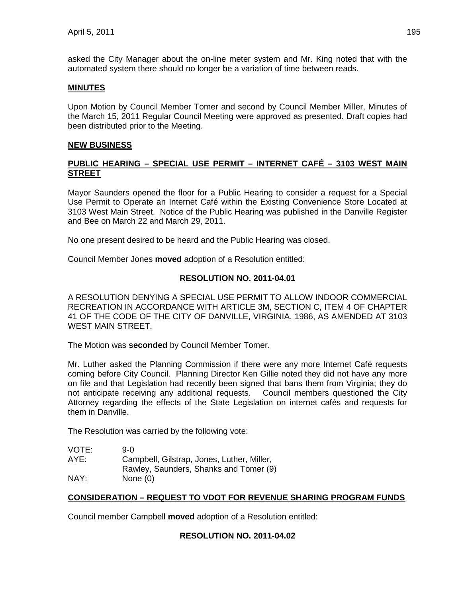asked the City Manager about the on-line meter system and Mr. King noted that with the automated system there should no longer be a variation of time between reads.

### **MINUTES**

Upon Motion by Council Member Tomer and second by Council Member Miller, Minutes of the March 15, 2011 Regular Council Meeting were approved as presented. Draft copies had been distributed prior to the Meeting.

#### **NEW BUSINESS**

## **PUBLIC HEARING – SPECIAL USE PERMIT – INTERNET CAFÉ – 3103 WEST MAIN STREET**

Mayor Saunders opened the floor for a Public Hearing to consider a request for a Special Use Permit to Operate an Internet Café within the Existing Convenience Store Located at 3103 West Main Street. Notice of the Public Hearing was published in the Danville Register and Bee on March 22 and March 29, 2011.

No one present desired to be heard and the Public Hearing was closed.

Council Member Jones **moved** adoption of a Resolution entitled:

## **RESOLUTION NO. 2011-04.01**

A RESOLUTION DENYING A SPECIAL USE PERMIT TO ALLOW INDOOR COMMERCIAL RECREATION IN ACCORDANCE WITH ARTICLE 3M, SECTION C, ITEM 4 OF CHAPTER 41 OF THE CODE OF THE CITY OF DANVILLE, VIRGINIA, 1986, AS AMENDED AT 3103 WEST MAIN STREET.

The Motion was **seconded** by Council Member Tomer.

Mr. Luther asked the Planning Commission if there were any more Internet Café requests coming before City Council. Planning Director Ken Gillie noted they did not have any more on file and that Legislation had recently been signed that bans them from Virginia; they do not anticipate receiving any additional requests. Council members questioned the City Attorney regarding the effects of the State Legislation on internet cafés and requests for them in Danville.

The Resolution was carried by the following vote:

| VOTE: | 9-0.                                       |
|-------|--------------------------------------------|
| AYE:  | Campbell, Gilstrap, Jones, Luther, Miller, |
|       | Rawley, Saunders, Shanks and Tomer (9)     |
| NAY:  | None $(0)$                                 |

## **CONSIDERATION – REQUEST TO VDOT FOR REVENUE SHARING PROGRAM FUNDS**

Council member Campbell **moved** adoption of a Resolution entitled:

#### **RESOLUTION NO. 2011-04.02**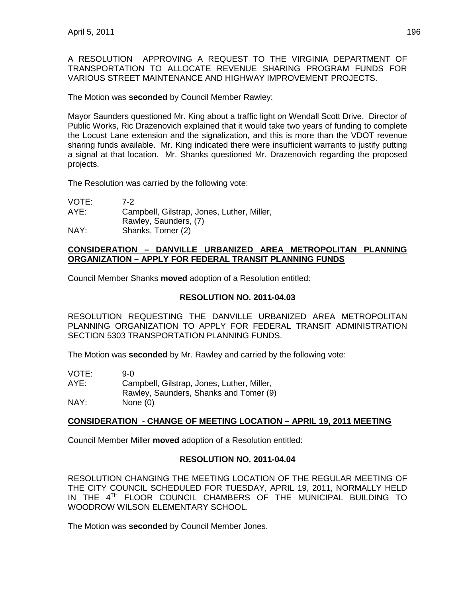A RESOLUTION APPROVING A REQUEST TO THE VIRGINIA DEPARTMENT OF TRANSPORTATION TO ALLOCATE REVENUE SHARING PROGRAM FUNDS FOR VARIOUS STREET MAINTENANCE AND HIGHWAY IMPROVEMENT PROJECTS.

The Motion was **seconded** by Council Member Rawley:

Mayor Saunders questioned Mr. King about a traffic light on Wendall Scott Drive. Director of Public Works, Ric Drazenovich explained that it would take two years of funding to complete the Locust Lane extension and the signalization, and this is more than the VDOT revenue sharing funds available. Mr. King indicated there were insufficient warrants to justify putting a signal at that location. Mr. Shanks questioned Mr. Drazenovich regarding the proposed projects.

The Resolution was carried by the following vote:

| VOTE: | 7-2                                        |
|-------|--------------------------------------------|
| AYE:  | Campbell, Gilstrap, Jones, Luther, Miller, |
|       | Rawley, Saunders, (7)                      |
| NAY:  | Shanks, Tomer (2)                          |

### **CONSIDERATION – DANVILLE URBANIZED AREA METROPOLITAN PLANNING ORGANIZATION – APPLY FOR FEDERAL TRANSIT PLANNING FUNDS**

Council Member Shanks **moved** adoption of a Resolution entitled:

## **RESOLUTION NO. 2011-04.03**

RESOLUTION REQUESTING THE DANVILLE URBANIZED AREA METROPOLITAN PLANNING ORGANIZATION TO APPLY FOR FEDERAL TRANSIT ADMINISTRATION SECTION 5303 TRANSPORTATION PLANNING FUNDS.

The Motion was **seconded** by Mr. Rawley and carried by the following vote:

| VOTE: | 9-0.                                       |
|-------|--------------------------------------------|
| AYE:  | Campbell, Gilstrap, Jones, Luther, Miller, |
|       | Rawley, Saunders, Shanks and Tomer (9)     |
| NAY:  | None $(0)$                                 |

## **CONSIDERATION - CHANGE OF MEETING LOCATION – APRIL 19, 2011 MEETING**

Council Member Miller **moved** adoption of a Resolution entitled:

## **RESOLUTION NO. 2011-04.04**

RESOLUTION CHANGING THE MEETING LOCATION OF THE REGULAR MEETING OF THE CITY COUNCIL SCHEDULED FOR TUESDAY, APRIL 19, 2011, NORMALLY HELD IN THE 4TH FLOOR COUNCIL CHAMBERS OF THE MUNICIPAL BUILDING TO WOODROW WILSON ELEMENTARY SCHOOL.

The Motion was **seconded** by Council Member Jones.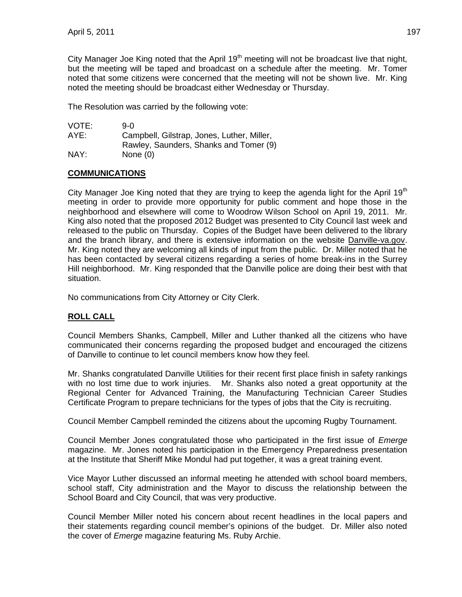City Manager Joe King noted that the April  $19<sup>th</sup>$  meeting will not be broadcast live that night, but the meeting will be taped and broadcast on a schedule after the meeting. Mr. Tomer noted that some citizens were concerned that the meeting will not be shown live. Mr. King noted the meeting should be broadcast either Wednesday or Thursday.

The Resolution was carried by the following vote:

| VOTE: | 9-0                                        |
|-------|--------------------------------------------|
| AYE:  | Campbell, Gilstrap, Jones, Luther, Miller, |
|       | Rawley, Saunders, Shanks and Tomer (9)     |
| NAY:  | None $(0)$                                 |

## **COMMUNICATIONS**

City Manager Joe King noted that they are trying to keep the agenda light for the April 19<sup>th</sup> meeting in order to provide more opportunity for public comment and hope those in the neighborhood and elsewhere will come to Woodrow Wilson School on April 19, 2011. Mr. King also noted that the proposed 2012 Budget was presented to City Council last week and released to the public on Thursday. Copies of the Budget have been delivered to the library and the branch library, and there is extensive information on the website Danville-va.gov. Mr. King noted they are welcoming all kinds of input from the public. Dr. Miller noted that he has been contacted by several citizens regarding a series of home break-ins in the Surrey Hill neighborhood. Mr. King responded that the Danville police are doing their best with that situation.

No communications from City Attorney or City Clerk.

# **ROLL CALL**

Council Members Shanks, Campbell, Miller and Luther thanked all the citizens who have communicated their concerns regarding the proposed budget and encouraged the citizens of Danville to continue to let council members know how they feel.

Mr. Shanks congratulated Danville Utilities for their recent first place finish in safety rankings with no lost time due to work injuries. Mr. Shanks also noted a great opportunity at the Regional Center for Advanced Training, the Manufacturing Technician Career Studies Certificate Program to prepare technicians for the types of jobs that the City is recruiting.

Council Member Campbell reminded the citizens about the upcoming Rugby Tournament.

Council Member Jones congratulated those who participated in the first issue of *Emerge* magazine. Mr. Jones noted his participation in the Emergency Preparedness presentation at the Institute that Sheriff Mike Mondul had put together, it was a great training event.

Vice Mayor Luther discussed an informal meeting he attended with school board members, school staff, City administration and the Mayor to discuss the relationship between the School Board and City Council, that was very productive.

Council Member Miller noted his concern about recent headlines in the local papers and their statements regarding council member's opinions of the budget. Dr. Miller also noted the cover of *Emerge* magazine featuring Ms. Ruby Archie.